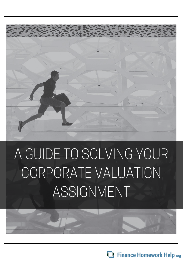

# A GUIDE TO SOLVING YOUR CORPORATE VALUATION ASSIGNMENT

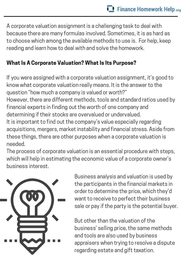A corporate valuation assignment is a challenging task to deal with because there are many formulas involved. Sometimes, it is as hard as to choose which among the available methods to use is. For help, keep reading and learn how to deal with and solve the homework.

## What Is A Corporate Valuation? What Is Its Purpose?

If you were assigned with a corporate valuation assignment, it's good to know what corporate valuation really means. It is the answer to the question "how much a company is valued or worth?" However, there are different methods, tools and standard ratios used by financial experts in finding out the worth of one company and determining if their stocks are overvalued or undervalued. It is important to find out the company's value especially regarding acquisitions, mergers, market instability and financial stress. Aside from these things, there are other purposes when a corporate valuation is needed.

The process of corporate valuation is an essential procedure with steps, which will help in estimating the economic value of a corporate owner's business interest.



Business analysis and valuation is used by the participants in the financial markets in order to determine the price, which they'd want to receive to perfect their business sale or pay if the party is the potential buyer.

But other than the valuation of the business' selling price, the same methods and tools are also used by business appraisers when trying to resolve a dispute regarding estate and gift taxation.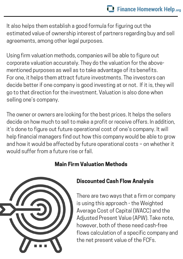It also helps them establish a good formula for figuring out the estimated value of ownership interest of partners regarding buy and sell agreements, among other legal purposes.

Using firm valuation methods, companies will be able to figure out corporate valuation accurately. They do the valuation for the abovementioned purposes as well as to take advantage of its benefits. For one, it helps them attract future investments. The investors can decide better if one company is good investing at or not. If it is, they will go to that direction for the investment. Valuation is also done when selling one's company.

The owner or owners are looking for the best prices. It helps the sellers decide on how much to sell to make a profit or receive offers. In addition, it's done to figure out future operational cost of one's company. It will help financial managers find out how this company would be able to grow and how it would be affected by future operational costs – on whether it would suffer from a future rise or fall.

#### Main Firm Valuation Methods



#### Discounted Cash Flow Analysis

There are two ways that a firm or company is using this approach - the Weighted Average Cost of Capital (WACC) and the Adjusted Present Value (APW). Take note, however, both of these need cash-free flows calculation of a specific company and the net present value of the FCFs.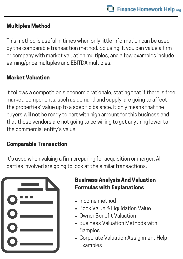### Multiples Method

This method is useful in times when only little information can be used by the comparable transaction method. So using it, you can value a firm or company with market valuation multiples, and a few examples include earning/price multiples and EBITDA multiples.

### Market Valuation

It follows a competition's economic rationale, stating that if there is free market, components, such as demand and supply, are going to affect the properties' value up to a specific balance. It only means that the buyers will not be ready to part with high amount for this business and that those vendors are not going to be willing to get anything lower to the commercial entity's value.

#### Comparable Transaction

It's used when valuing a firm preparing for acquisition or merger. All parties involved are going to look at the similar transactions.

| $\bullet$ $\hspace{0.05cm}-$ |
|------------------------------|
| $\overline{\mathbf{O}}$      |
| $\bullet$ $\hspace{0.05cm}$  |

### Business Analysis And Valuation Formulas with Explanations

- Income method
- Book Value & Liquidation Value
- Owner Benefit Valuation
- **Business Valuation Methods with** Samples
- Corporate Valuation [Assignment](http://www.canadaone.com/tools/buy_a_biz/section2f.html) Help Examples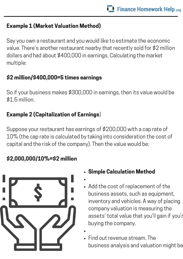## Example 1 (Market Valuation Method)

Say you own a restaurant and you would like to estimate the economic value. There's another restaurant nearby that recently sold for \$2 million dollars and had about \$400,000 in earnings. Calculating the market multiple:

## \$2 million/\$400,000=5 times earnings

So if your business makes \$300,000 in earnings, then its value would be \$1.5 million.

## Example 2 (Capitalization of Earnings)

Suppose your restaurant has earnings of \$200,000 with a cap rate of 10% (the cap rate is calculated by taking into consideration the cost of capital and the risk of the company). Then the value would be:

## \$2,000,000/10%=\$2 million



- Simple Calculation Method
- Add the cost of [replacement](http://www.canadaone.com/tools/buy_a_biz/section2f.html) of the business assets, such as equipment, inventory and vehicles. A way of placing company valuation is measuring the assets' total value that you'll gain if you'r buying the company.
- Find out revenue stream. The business analysis and valuation might be